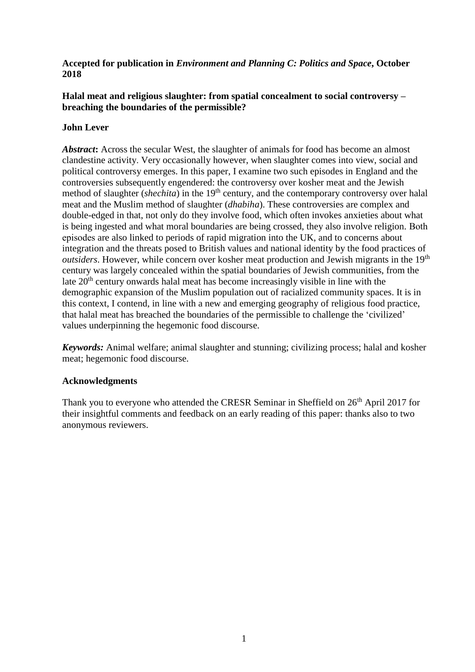### **Accepted for publication in** *Environment and Planning C: Politics and Space***, October 2018**

# **Halal meat and religious slaughter: from spatial concealment to social controversy – breaching the boundaries of the permissible?**

# **John Lever**

*Abstract***:** Across the secular West, the slaughter of animals for food has become an almost clandestine activity. Very occasionally however, when slaughter comes into view, social and political controversy emerges. In this paper, I examine two such episodes in England and the controversies subsequently engendered: the controversy over kosher meat and the Jewish method of slaughter *(shechita)* in the 19<sup>th</sup> century, and the contemporary controversy over halal meat and the Muslim method of slaughter (*dhabiha*). These controversies are complex and double-edged in that, not only do they involve food, which often invokes anxieties about what is being ingested and what moral boundaries are being crossed, they also involve religion. Both episodes are also linked to periods of rapid migration into the UK, and to concerns about integration and the threats posed to British values and national identity by the food practices of *outsiders*. However, while concern over kosher meat production and Jewish migrants in the 19<sup>th</sup> century was largely concealed within the spatial boundaries of Jewish communities, from the late 20<sup>th</sup> century onwards halal meat has become increasingly visible in line with the demographic expansion of the Muslim population out of racialized community spaces. It is in this context, I contend, in line with a new and emerging geography of religious food practice, that halal meat has breached the boundaries of the permissible to challenge the 'civilized' values underpinning the hegemonic food discourse.

*Keywords:* Animal welfare; animal slaughter and stunning; civilizing process; halal and kosher meat; hegemonic food discourse.

# **Acknowledgments**

Thank you to everyone who attended the CRESR Seminar in Sheffield on 26<sup>th</sup> April 2017 for their insightful comments and feedback on an early reading of this paper: thanks also to two anonymous reviewers.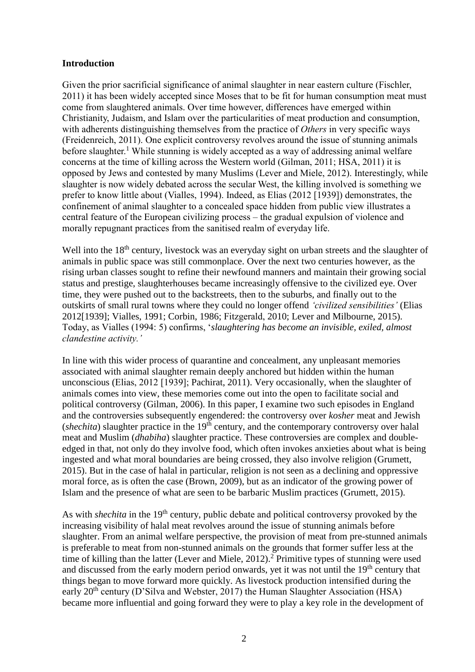### **Introduction**

Given the prior sacrificial significance of animal slaughter in near eastern culture (Fischler, 2011) it has been widely accepted since Moses that to be fit for human consumption meat must come from slaughtered animals. Over time however, differences have emerged within Christianity, Judaism, and Islam over the particularities of meat production and consumption, with adherents distinguishing themselves from the practice of *Others* in very specific ways (Freidenreich, 2011). One explicit controversy revolves around the issue of stunning animals before slaughter.<sup>1</sup> While stunning is widely accepted as a way of addressing animal welfare concerns at the time of killing across the Western world (Gilman, 2011; HSA, 2011) it is opposed by Jews and contested by many Muslims (Lever and Miele, 2012). Interestingly, while slaughter is now widely debated across the secular West, the killing involved is something we prefer to know little about (Vialles, 1994). Indeed, as Elias (2012 [1939]) demonstrates, the confinement of animal slaughter to a concealed space hidden from public view illustrates a central feature of the European civilizing process – the gradual expulsion of violence and morally repugnant practices from the sanitised realm of everyday life.

Well into the 18<sup>th</sup> century, livestock was an everyday sight on urban streets and the slaughter of animals in public space was still commonplace. Over the next two centuries however, as the rising urban classes sought to refine their newfound manners and maintain their growing social status and prestige, slaughterhouses became increasingly offensive to the civilized eye. Over time, they were pushed out to the backstreets, then to the suburbs, and finally out to the outskirts of small rural towns where they could no longer offend *'civilized sensibilities'* (Elias 2012[1939]; Vialles, 1991; Corbin, 1986; Fitzgerald, 2010; Lever and Milbourne, 2015). Today, as Vialles (1994: 5) confirms, '*slaughtering has become an invisible, exiled, almost clandestine activity.'*

In line with this wider process of quarantine and concealment, any unpleasant memories associated with animal slaughter remain deeply anchored but hidden within the human unconscious (Elias, 2012 [1939]; Pachirat, 2011). Very occasionally, when the slaughter of animals comes into view, these memories come out into the open to facilitate social and political controversy (Gilman, 2006). In this paper, I examine two such episodes in England and the controversies subsequently engendered: the controversy over *kosher* meat and Jewish  $(shechita)$  slaughter practice in the 19<sup>th</sup> century, and the contemporary controversy over halal meat and Muslim (*dhabiha*) slaughter practice. These controversies are complex and doubleedged in that, not only do they involve food, which often invokes anxieties about what is being ingested and what moral boundaries are being crossed, they also involve religion (Grumett, 2015). But in the case of halal in particular, religion is not seen as a declining and oppressive moral force, as is often the case (Brown, 2009), but as an indicator of the growing power of Islam and the presence of what are seen to be barbaric Muslim practices (Grumett, 2015).

As with *shechita* in the 19<sup>th</sup> century, public debate and political controversy provoked by the increasing visibility of halal meat revolves around the issue of stunning animals before slaughter. From an animal welfare perspective, the provision of meat from pre-stunned animals is preferable to meat from non-stunned animals on the grounds that former suffer less at the time of killing than the latter (Lever and Miele, 2012).<sup>2</sup> Primitive types of stunning were used and discussed from the early modern period onwards, yet it was not until the 19<sup>th</sup> century that things began to move forward more quickly. As livestock production intensified during the early 20<sup>th</sup> century (D'Silva and Webster, 2017) the Human Slaughter Association (HSA) became more influential and going forward they were to play a key role in the development of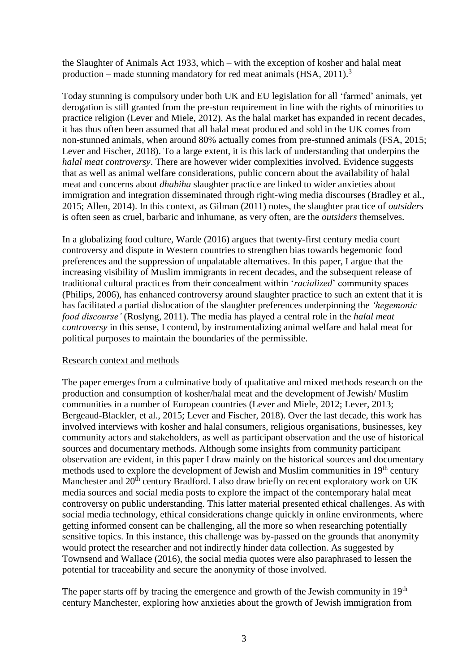the Slaughter of Animals Act 1933, which – with the exception of kosher and halal meat production – made stunning mandatory for red meat animals  $(HSA, 2011).$ <sup>3</sup>

Today stunning is compulsory under both UK and EU legislation for all 'farmed' animals, yet derogation is still granted from the pre-stun requirement in line with the rights of minorities to practice religion (Lever and Miele, 2012). As the halal market has expanded in recent decades, it has thus often been assumed that all halal meat produced and sold in the UK comes from non-stunned animals, when around 80% actually comes from pre-stunned animals (FSA, 2015; Lever and Fischer, 2018). To a large extent, it is this lack of understanding that underpins the *halal meat controversy*. There are however wider complexities involved. Evidence suggests that as well as animal welfare considerations, public concern about the availability of halal meat and concerns about *dhabiha* slaughter practice are linked to wider anxieties about immigration and integration disseminated through right-wing media discourses (Bradley et al., 2015; Allen, 2014). In this context, as Gilman (2011) notes, the slaughter practice of *outsiders* is often seen as cruel, barbaric and inhumane, as very often, are the *outsiders* themselves.

In a globalizing food culture, Warde (2016) argues that twenty-first century media court controversy and dispute in Western countries to strengthen bias towards hegemonic food preferences and the suppression of unpalatable alternatives. In this paper, I argue that the increasing visibility of Muslim immigrants in recent decades, and the subsequent release of traditional cultural practices from their concealment within '*racialized*' community spaces (Philips, 2006), has enhanced controversy around slaughter practice to such an extent that it is has facilitated a partial dislocation of the slaughter preferences underpinning the *'hegemonic food discourse'* (Roslyng, 2011). The media has played a central role in the *halal meat controversy* in this sense, I contend, by instrumentalizing animal welfare and halal meat for political purposes to maintain the boundaries of the permissible.

#### Research context and methods

The paper emerges from a culminative body of qualitative and mixed methods research on the production and consumption of kosher/halal meat and the development of Jewish/ Muslim communities in a number of European countries (Lever and Miele, 2012; Lever, 2013; Bergeaud-Blackler, et al., 2015; Lever and Fischer, 2018). Over the last decade, this work has involved interviews with kosher and halal consumers, religious organisations, businesses, key community actors and stakeholders, as well as participant observation and the use of historical sources and documentary methods. Although some insights from community participant observation are evident, in this paper I draw mainly on the historical sources and documentary methods used to explore the development of Jewish and Muslim communities in 19<sup>th</sup> century Manchester and 20<sup>th</sup> century Bradford. I also draw briefly on recent exploratory work on UK media sources and social media posts to explore the impact of the contemporary halal meat controversy on public understanding. This latter material presented ethical challenges. As with social media technology, ethical considerations change quickly in online environments, where getting informed consent can be challenging, all the more so when researching potentially sensitive topics. In this instance, this challenge was by-passed on the grounds that anonymity would protect the researcher and not indirectly hinder data collection. As suggested by Townsend and Wallace (2016), the social media quotes were also paraphrased to lessen the potential for traceability and secure the anonymity of those involved.

The paper starts off by tracing the emergence and growth of the Jewish community in 19<sup>th</sup> century Manchester, exploring how anxieties about the growth of Jewish immigration from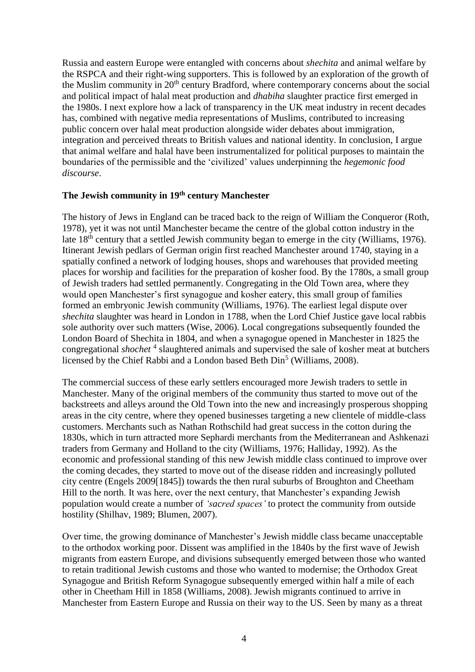Russia and eastern Europe were entangled with concerns about *shechita* and animal welfare by the RSPCA and their right-wing supporters. This is followed by an exploration of the growth of the Muslim community in  $20<sup>th</sup>$  century Bradford, where contemporary concerns about the social and political impact of halal meat production and *dhabiha* slaughter practice first emerged in the 1980s. I next explore how a lack of transparency in the UK meat industry in recent decades has, combined with negative media representations of Muslims, contributed to increasing public concern over halal meat production alongside wider debates about immigration, integration and perceived threats to British values and national identity. In conclusion, I argue that animal welfare and halal have been instrumentalized for political purposes to maintain the boundaries of the permissible and the 'civilized' values underpinning the *hegemonic food discourse*.

### **The Jewish community in 19th century Manchester**

The history of Jews in England can be traced back to the reign of William the Conqueror (Roth, 1978), yet it was not until Manchester became the centre of the global cotton industry in the late 18<sup>th</sup> century that a settled Jewish community began to emerge in the city (Williams, 1976). Itinerant Jewish pedlars of German origin first reached Manchester around 1740, staying in a spatially confined a network of lodging houses, shops and warehouses that provided meeting places for worship and facilities for the preparation of kosher food. By the 1780s, a small group of Jewish traders had settled permanently. Congregating in the Old Town area, where they would open Manchester's first synagogue and kosher eatery, this small group of families formed an embryonic Jewish community (Williams, 1976). The earliest legal dispute over *shechita* slaughter was heard in London in 1788, when the Lord Chief Justice gave local rabbis sole authority over such matters (Wise, 2006). Local congregations subsequently founded the London Board of Shechita in 1804, and when a synagogue opened in Manchester in 1825 the congregational *shochet* <sup>4</sup> slaughtered animals and supervised the sale of kosher meat at butchers licensed by the Chief Rabbi and a London based Beth Din<sup>5</sup> (Williams, 2008).

The commercial success of these early settlers encouraged more Jewish traders to settle in Manchester. Many of the original members of the community thus started to move out of the backstreets and alleys around the Old Town into the new and increasingly prosperous shopping areas in the city centre, where they opened businesses targeting a new clientele of middle-class customers. Merchants such as Nathan Rothschild had great success in the cotton during the 1830s, which in turn attracted more Sephardi merchants from the Mediterranean and Ashkenazi traders from Germany and Holland to the city (Williams, 1976; Halliday, 1992). As the economic and professional standing of this new Jewish middle class continued to improve over the coming decades, they started to move out of the disease ridden and increasingly polluted city centre (Engels 2009[1845]) towards the then rural suburbs of Broughton and Cheetham Hill to the north. It was here, over the next century, that Manchester's expanding Jewish population would create a number of *'sacred spaces'* to protect the community from outside hostility (Shilhav, 1989; Blumen, 2007).

Over time, the growing dominance of Manchester's Jewish middle class became unacceptable to the orthodox working poor. Dissent was amplified in the 1840s by the first wave of Jewish migrants from eastern Europe, and divisions subsequently emerged between those who wanted to retain traditional Jewish customs and those who wanted to modernise; the Orthodox Great Synagogue and British Reform Synagogue subsequently emerged within half a mile of each other in Cheetham Hill in 1858 (Williams, 2008). Jewish migrants continued to arrive in Manchester from Eastern Europe and Russia on their way to the US. Seen by many as a threat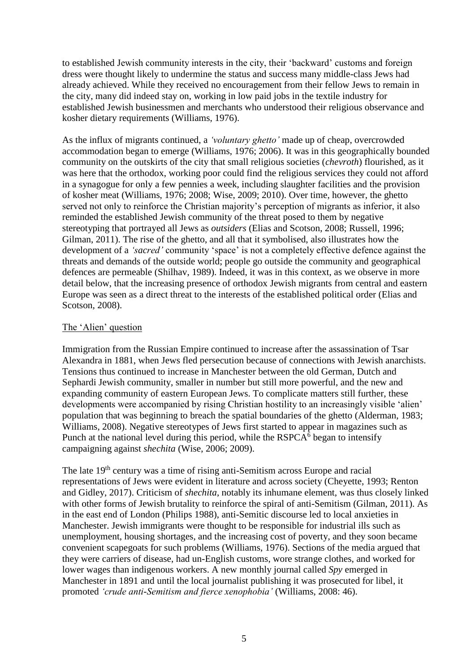to established Jewish community interests in the city, their 'backward' customs and foreign dress were thought likely to undermine the status and success many middle-class Jews had already achieved. While they received no encouragement from their fellow Jews to remain in the city, many did indeed stay on, working in low paid jobs in the textile industry for established Jewish businessmen and merchants who understood their religious observance and kosher dietary requirements (Williams, 1976).

As the influx of migrants continued, a *'voluntary ghetto'* made up of cheap, overcrowded accommodation began to emerge (Williams, 1976; 2006). It was in this geographically bounded community on the outskirts of the city that small religious societies (*chevroth*) flourished*,* as it was here that the orthodox, working poor could find the religious services they could not afford in a synagogue for only a few pennies a week, including slaughter facilities and the provision of kosher meat (Williams, 1976; 2008; Wise, 2009; 2010). Over time, however, the ghetto served not only to reinforce the Christian majority's perception of migrants as inferior, it also reminded the established Jewish community of the threat posed to them by negative stereotyping that portrayed all Jews as *outsiders* (Elias and Scotson, 2008; Russell, 1996; Gilman, 2011). The rise of the ghetto, and all that it symbolised, also illustrates how the development of a *'sacred'* community 'space' is not a completely effective defence against the threats and demands of the outside world; people go outside the community and geographical defences are permeable (Shilhav, 1989). Indeed, it was in this context, as we observe in more detail below, that the increasing presence of orthodox Jewish migrants from central and eastern Europe was seen as a direct threat to the interests of the established political order (Elias and Scotson, 2008).

### The 'Alien' question

Immigration from the Russian Empire continued to increase after the assassination of Tsar Alexandra in 1881, when Jews fled persecution because of connections with Jewish anarchists. Tensions thus continued to increase in Manchester between the old German, Dutch and Sephardi Jewish community, smaller in number but still more powerful, and the new and expanding community of eastern European Jews. To complicate matters still further, these developments were accompanied by rising Christian hostility to an increasingly visible 'alien' population that was beginning to breach the spatial boundaries of the ghetto (Alderman, 1983; Williams, 2008). Negative stereotypes of Jews first started to appear in magazines such as Punch at the national level during this period, while the  $RSPCA<sup>6</sup>$  began to intensify campaigning against *shechita* (Wise, 2006; 2009).

The late 19<sup>th</sup> century was a time of rising anti-Semitism across Europe and racial representations of Jews were evident in literature and across society (Cheyette, 1993; Renton and Gidley, 2017). Criticism of *shechita*, notably its inhumane element, was thus closely linked with other forms of Jewish brutality to reinforce the spiral of anti-Semitism (Gilman, 2011). As in the east end of London (Philips 1988), anti-Semitic discourse led to local anxieties in Manchester. Jewish immigrants were thought to be responsible for industrial ills such as unemployment, housing shortages, and the increasing cost of poverty, and they soon became convenient scapegoats for such problems (Williams, 1976). Sections of the media argued that they were carriers of disease, had un-English customs, wore strange clothes, and worked for lower wages than indigenous workers. A new monthly journal called *Spy* emerged in Manchester in 1891 and until the local journalist publishing it was prosecuted for libel, it promoted *'crude anti-Semitism and fierce xenophobia'* (Williams, 2008: 46).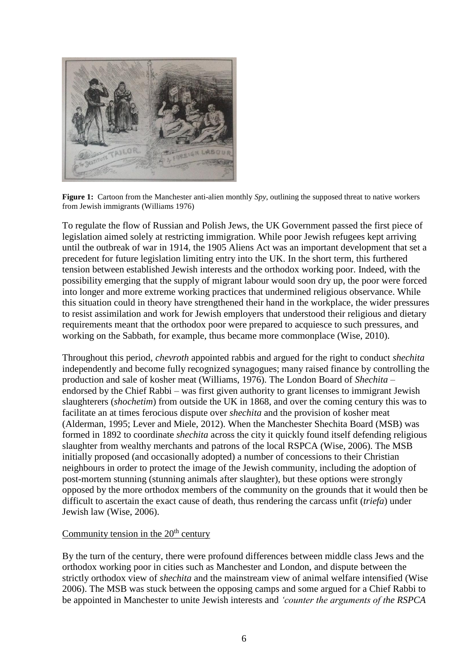

**Figure 1:** Cartoon from the Manchester anti-alien monthly *Spy*, outlining the supposed threat to native workers from Jewish immigrants (Williams 1976)

To regulate the flow of Russian and Polish Jews, the UK Government passed the first piece of legislation aimed solely at restricting immigration. While poor Jewish refugees kept arriving until the outbreak of war in 1914, the 1905 Aliens Act was an important development that set a precedent for future legislation limiting entry into the UK. In the short term, this furthered tension between established Jewish interests and the orthodox working poor. Indeed, with the possibility emerging that the supply of migrant labour would soon dry up, the poor were forced into longer and more extreme working practices that undermined religious observance. While this situation could in theory have strengthened their hand in the workplace, the wider pressures to resist assimilation and work for Jewish employers that understood their religious and dietary requirements meant that the orthodox poor were prepared to acquiesce to such pressures, and working on the Sabbath, for example, thus became more commonplace (Wise, 2010).

Throughout this period, *chevroth* appointed rabbis and argued for the right to conduct *shechita* independently and become fully recognized synagogues; many raised finance by controlling the production and sale of kosher meat (Williams, 1976). The London Board of *Shechita* – endorsed by the Chief Rabbi – was first given authority to grant licenses to immigrant Jewish slaughterers (*shochetim*) from outside the UK in 1868, and over the coming century this was to facilitate an at times ferocious dispute over *shechita* and the provision of kosher meat (Alderman, 1995; Lever and Miele, 2012). When the Manchester Shechita Board (MSB) was formed in 1892 to coordinate *shechita* across the city it quickly found itself defending religious slaughter from wealthy merchants and patrons of the local RSPCA (Wise, 2006). The MSB initially proposed (and occasionally adopted) a number of concessions to their Christian neighbours in order to protect the image of the Jewish community, including the adoption of post-mortem stunning (stunning animals after slaughter), but these options were strongly opposed by the more orthodox members of the community on the grounds that it would then be difficult to ascertain the exact cause of death, thus rendering the carcass unfit (*triefa*) under Jewish law (Wise, 2006).

#### Community tension in the  $20<sup>th</sup>$  century

By the turn of the century, there were profound differences between middle class Jews and the orthodox working poor in cities such as Manchester and London, and dispute between the strictly orthodox view of *shechita* and the mainstream view of animal welfare intensified (Wise 2006). The MSB was stuck between the opposing camps and some argued for a Chief Rabbi to be appointed in Manchester to unite Jewish interests and *'counter the arguments of the RSPCA*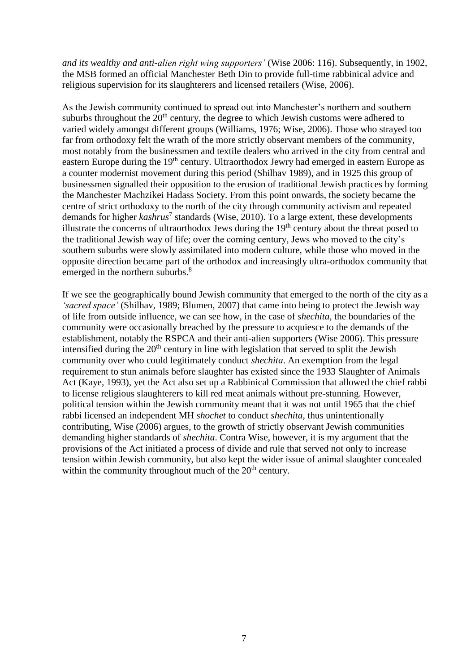*and its wealthy and anti-alien right wing supporters'* (Wise 2006: 116). Subsequently, in 1902, the MSB formed an official Manchester Beth Din to provide full-time rabbinical advice and religious supervision for its slaughterers and licensed retailers (Wise, 2006).

As the Jewish community continued to spread out into Manchester's northern and southern suburbs throughout the  $20<sup>th</sup>$  century, the degree to which Jewish customs were adhered to varied widely amongst different groups (Williams, 1976; Wise, 2006). Those who strayed too far from orthodoxy felt the wrath of the more strictly observant members of the community, most notably from the businessmen and textile dealers who arrived in the city from central and eastern Europe during the 19<sup>th</sup> century. Ultraorthodox Jewry had emerged in eastern Europe as a counter modernist movement during this period (Shilhav 1989), and in 1925 this group of businessmen signalled their opposition to the erosion of traditional Jewish practices by forming the Manchester Machzikei Hadass Society. From this point onwards, the society became the centre of strict orthodoxy to the north of the city through community activism and repeated demands for higher *kashrus* 7 standards (Wise, 2010). To a large extent, these developments illustrate the concerns of ultraorthodox Jews during the  $19<sup>th</sup>$  century about the threat posed to the traditional Jewish way of life; over the coming century, Jews who moved to the city's southern suburbs were slowly assimilated into modern culture, while those who moved in the opposite direction became part of the orthodox and increasingly ultra-orthodox community that emerged in the northern suburbs.<sup>8</sup>

If we see the geographically bound Jewish community that emerged to the north of the city as a *'sacred space'* (Shilhav, 1989; Blumen, 2007) that came into being to protect the Jewish way of life from outside influence, we can see how, in the case of *shechita*, the boundaries of the community were occasionally breached by the pressure to acquiesce to the demands of the establishment, notably the RSPCA and their anti-alien supporters (Wise 2006). This pressure intensified during the  $20<sup>th</sup>$  century in line with legislation that served to split the Jewish community over who could legitimately conduct *shechita*. An exemption from the legal requirement to stun animals before slaughter has existed since the 1933 Slaughter of Animals Act (Kaye, 1993), yet the Act also set up a Rabbinical Commission that allowed the chief rabbi to license religious slaughterers to kill red meat animals without pre-stunning. However, political tension within the Jewish community meant that it was not until 1965 that the chief rabbi licensed an independent MH *shochet* to conduct *shechita*, thus unintentionally contributing, Wise (2006) argues, to the growth of strictly observant Jewish communities demanding higher standards of *shechita*. Contra Wise, however, it is my argument that the provisions of the Act initiated a process of divide and rule that served not only to increase tension within Jewish community, but also kept the wider issue of animal slaughter concealed within the community throughout much of the  $20<sup>th</sup>$  century.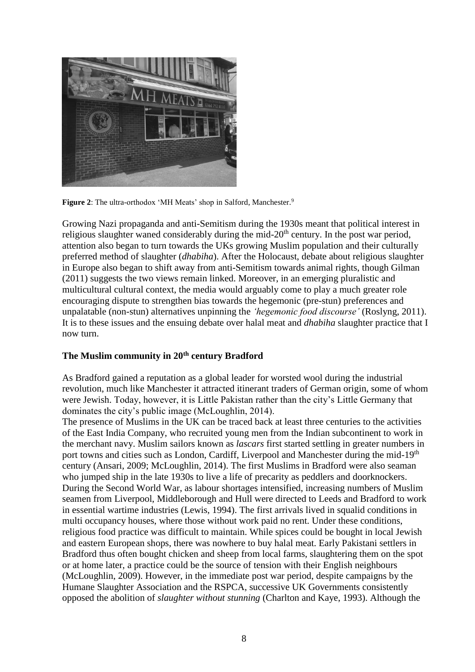

**Figure 2**: The ultra-orthodox 'MH Meats' shop in Salford, Manchester.<sup>9</sup>

Growing Nazi propaganda and anti-Semitism during the 1930s meant that political interest in religious slaughter waned considerably during the mid- $20<sup>th</sup>$  century. In the post war period, attention also began to turn towards the UKs growing Muslim population and their culturally preferred method of slaughter (*dhabiha*). After the Holocaust, debate about religious slaughter in Europe also began to shift away from anti-Semitism towards animal rights, though Gilman (2011) suggests the two views remain linked. Moreover, in an emerging pluralistic and multicultural cultural context, the media would arguably come to play a much greater role encouraging dispute to strengthen bias towards the hegemonic (pre-stun) preferences and unpalatable (non-stun) alternatives unpinning the *'hegemonic food discourse'* (Roslyng, 2011). It is to these issues and the ensuing debate over halal meat and *dhabiha* slaughter practice that I now turn.

# **The Muslim community in 20th century Bradford**

As Bradford gained a reputation as a global leader for worsted wool during the industrial revolution, much like Manchester it attracted itinerant traders of German origin, some of whom were Jewish. Today, however, it is Little Pakistan rather than the city's Little Germany that dominates the city's public image (McLoughlin, 2014).

The presence of Muslims in the UK can be traced back at least three centuries to the activities of the East India Company, who recruited young men from the Indian subcontinent to work in the merchant navy. Muslim sailors known as *lascars* first started settling in greater numbers in port towns and cities such as London, Cardiff, Liverpool and Manchester during the mid-19<sup>th</sup> century (Ansari, 2009; McLoughlin, 2014). The first Muslims in Bradford were also seaman who jumped ship in the late 1930s to live a life of precarity as peddlers and doorknockers. During the Second World War, as labour shortages intensified, increasing numbers of Muslim seamen from Liverpool, Middleborough and Hull were directed to Leeds and Bradford to work in essential wartime industries (Lewis, 1994). The first arrivals lived in squalid conditions in multi occupancy houses, where those without work paid no rent. Under these conditions, religious food practice was difficult to maintain. While spices could be bought in local Jewish and eastern European shops, there was nowhere to buy halal meat. Early Pakistani settlers in Bradford thus often bought chicken and sheep from local farms, slaughtering them on the spot or at home later, a practice could be the source of tension with their English neighbours (McLoughlin, 2009). However, in the immediate post war period, despite campaigns by the Humane Slaughter Association and the RSPCA, successive UK Governments consistently opposed the abolition of *slaughter without stunning* (Charlton and Kaye, 1993). Although the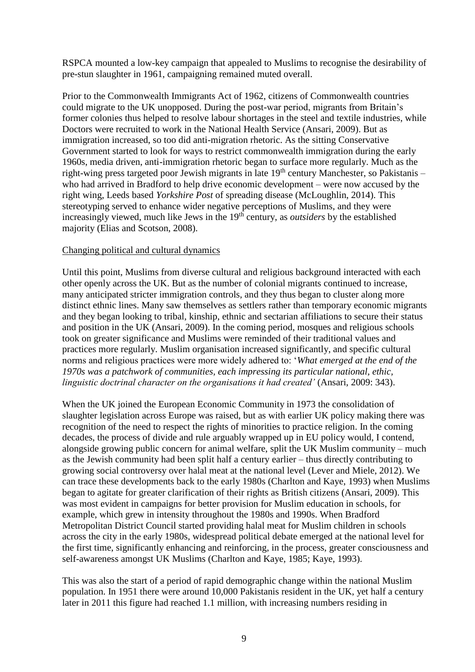RSPCA mounted a low-key campaign that appealed to Muslims to recognise the desirability of pre-stun slaughter in 1961, campaigning remained muted overall.

Prior to the Commonwealth Immigrants Act of 1962, citizens of Commonwealth countries could migrate to the UK unopposed. During the post-war period, migrants from Britain's former colonies thus helped to resolve labour shortages in the steel and textile industries, while Doctors were recruited to work in the National Health Service (Ansari, 2009). But as immigration increased, so too did anti-migration rhetoric. As the sitting Conservative Government started to look for ways to restrict commonwealth immigration during the early 1960s, media driven, anti-immigration rhetoric began to surface more regularly. Much as the right-wing press targeted poor Jewish migrants in late  $19<sup>th</sup>$  century Manchester, so Pakistanis – who had arrived in Bradford to help drive economic development – were now accused by the right wing, Leeds based *Yorkshire Post* of spreading disease (McLoughlin, 2014). This stereotyping served to enhance wider negative perceptions of Muslims, and they were increasingly viewed, much like Jews in the 19<sup>th</sup> century, as *outsiders* by the established majority (Elias and Scotson, 2008).

### Changing political and cultural dynamics

Until this point, Muslims from diverse cultural and religious background interacted with each other openly across the UK. But as the number of colonial migrants continued to increase, many anticipated stricter immigration controls, and they thus began to cluster along more distinct ethnic lines. Many saw themselves as settlers rather than temporary economic migrants and they began looking to tribal, kinship, ethnic and sectarian affiliations to secure their status and position in the UK (Ansari, 2009). In the coming period, mosques and religious schools took on greater significance and Muslims were reminded of their traditional values and practices more regularly. Muslim organisation increased significantly, and specific cultural norms and religious practices were more widely adhered to: '*What emerged at the end of the 1970s was a patchwork of communities, each impressing its particular national, ethic, linguistic doctrinal character on the organisations it had created'* (Ansari, 2009: 343).

When the UK joined the European Economic Community in 1973 the consolidation of slaughter legislation across Europe was raised, but as with earlier UK policy making there was recognition of the need to respect the rights of minorities to practice religion. In the coming decades, the process of divide and rule arguably wrapped up in EU policy would, I contend, alongside growing public concern for animal welfare, split the UK Muslim community – much as the Jewish community had been split half a century earlier – thus directly contributing to growing social controversy over halal meat at the national level (Lever and Miele, 2012). We can trace these developments back to the early 1980s (Charlton and Kaye, 1993) when Muslims began to agitate for greater clarification of their rights as British citizens (Ansari, 2009). This was most evident in campaigns for better provision for Muslim education in schools, for example, which grew in intensity throughout the 1980s and 1990s. When Bradford Metropolitan District Council started providing halal meat for Muslim children in schools across the city in the early 1980s, widespread political debate emerged at the national level for the first time, significantly enhancing and reinforcing, in the process, greater consciousness and self-awareness amongst UK Muslims (Charlton and Kaye, 1985; Kaye, 1993).

This was also the start of a period of rapid demographic change within the national Muslim population. In 1951 there were around 10,000 Pakistanis resident in the UK, yet half a century later in 2011 this figure had reached 1.1 million, with increasing numbers residing in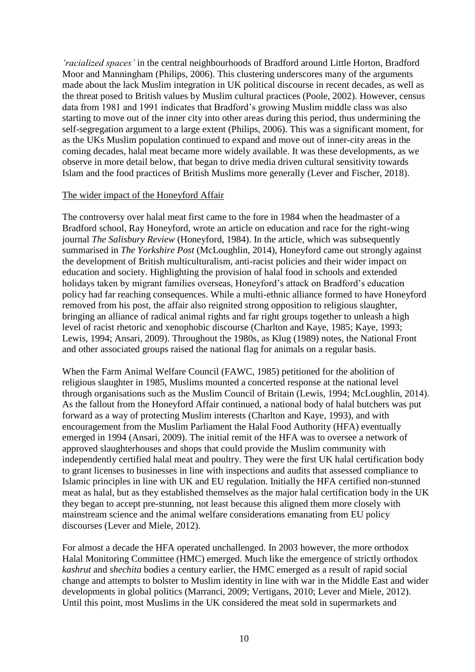*'racialized spaces'* in the central neighbourhoods of Bradford around Little Horton, Bradford Moor and Manningham (Philips, 2006). This clustering underscores many of the arguments made about the lack Muslim integration in UK political discourse in recent decades, as well as the threat posed to British values by Muslim cultural practices (Poole, 2002). However, census data from 1981 and 1991 indicates that Bradford's growing Muslim middle class was also starting to move out of the inner city into other areas during this period, thus undermining the self-segregation argument to a large extent (Philips, 2006). This was a significant moment, for as the UKs Muslim population continued to expand and move out of inner-city areas in the coming decades, halal meat became more widely available. It was these developments, as we observe in more detail below, that began to drive media driven cultural sensitivity towards Islam and the food practices of British Muslims more generally (Lever and Fischer, 2018).

#### The wider impact of the Honeyford Affair

The controversy over halal meat first came to the fore in 1984 when the headmaster of a Bradford school, Ray Honeyford, wrote an article on education and race for the right-wing journal *The Salisbury Review* (Honeyford, 1984). In the article, which was subsequently summarised in *The Yorkshire Post* (McLoughlin, 2014), Honeyford came out strongly against the development of British multiculturalism, anti-racist policies and their wider impact on education and society. Highlighting the provision of halal food in schools and extended holidays taken by migrant families overseas, Honeyford's attack on Bradford's education policy had far reaching consequences. While a multi-ethnic alliance formed to have Honeyford removed from his post, the affair also reignited strong opposition to religious slaughter, bringing an alliance of radical animal rights and far right groups together to unleash a high level of racist rhetoric and xenophobic discourse (Charlton and Kaye, 1985; Kaye, 1993; Lewis, 1994; Ansari, 2009). Throughout the 1980s, as Klug (1989) notes, the National Front and other associated groups raised the national flag for animals on a regular basis.

When the Farm Animal Welfare Council (FAWC, 1985) petitioned for the abolition of religious slaughter in 1985, Muslims mounted a concerted response at the national level through organisations such as the Muslim Council of Britain (Lewis, 1994; McLoughlin, 2014). As the fallout from the Honeyford Affair continued, a national body of halal butchers was put forward as a way of protecting Muslim interests (Charlton and Kaye, 1993), and with encouragement from the Muslim Parliament the Halal Food Authority (HFA) eventually emerged in 1994 (Ansari, 2009). The initial remit of the HFA was to oversee a network of approved slaughterhouses and shops that could provide the Muslim community with independently certified halal meat and poultry. They were the first UK halal certification body to grant licenses to businesses in line with inspections and audits that assessed compliance to Islamic principles in line with UK and EU regulation. Initially the HFA certified non-stunned meat as halal, but as they established themselves as the major halal certification body in the UK they began to accept pre-stunning, not least because this aligned them more closely with mainstream science and the animal welfare considerations emanating from EU policy discourses (Lever and Miele, 2012).

For almost a decade the HFA operated unchallenged. In 2003 however, the more orthodox Halal Monitoring Committee (HMC) emerged. Much like the emergence of strictly orthodox *kashrut* and *shechita* bodies a century earlier, the HMC emerged as a result of rapid social change and attempts to bolster to Muslim identity in line with war in the Middle East and wider developments in global politics (Marranci, 2009; Vertigans, 2010; Lever and Miele, 2012). Until this point, most Muslims in the UK considered the meat sold in supermarkets and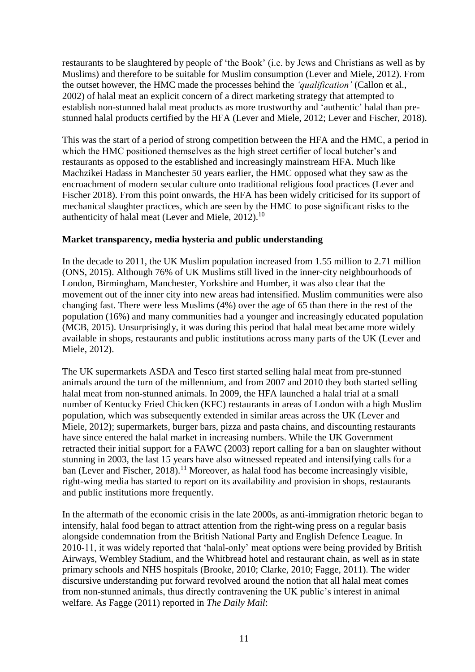restaurants to be slaughtered by people of 'the Book' (i.e. by Jews and Christians as well as by Muslims) and therefore to be suitable for Muslim consumption (Lever and Miele, 2012). From the outset however, the HMC made the processes behind the *'qualification'* (Callon et al., 2002) of halal meat an explicit concern of a direct marketing strategy that attempted to establish non-stunned halal meat products as more trustworthy and 'authentic' halal than prestunned halal products certified by the HFA (Lever and Miele, 2012; Lever and Fischer, 2018).

This was the start of a period of strong competition between the HFA and the HMC, a period in which the HMC positioned themselves as the high street certifier of local butcher's and restaurants as opposed to the established and increasingly mainstream HFA. Much like Machzikei Hadass in Manchester 50 years earlier, the HMC opposed what they saw as the encroachment of modern secular culture onto traditional religious food practices (Lever and Fischer 2018). From this point onwards, the HFA has been widely criticised for its support of mechanical slaughter practices, which are seen by the HMC to pose significant risks to the authenticity of halal meat (Lever and Miele, 2012).<sup>10</sup>

# **Market transparency, media hysteria and public understanding**

In the decade to 2011, the UK Muslim population increased from 1.55 million to 2.71 million (ONS, 2015). Although 76% of UK Muslims still lived in the inner-city neighbourhoods of London, Birmingham, Manchester, Yorkshire and Humber, it was also clear that the movement out of the inner city into new areas had intensified. Muslim communities were also changing fast. There were less Muslims (4%) over the age of 65 than there in the rest of the population (16%) and many communities had a younger and increasingly educated population (MCB, 2015). Unsurprisingly, it was during this period that halal meat became more widely available in shops, restaurants and public institutions across many parts of the UK (Lever and Miele, 2012).

The UK supermarkets ASDA and Tesco first started selling halal meat from pre-stunned animals around the turn of the millennium, and from 2007 and 2010 they both started selling halal meat from non-stunned animals. In 2009, the HFA launched a halal trial at a small number of Kentucky Fried Chicken (KFC) restaurants in areas of London with a high Muslim population, which was subsequently extended in similar areas across the UK (Lever and Miele, 2012); supermarkets, burger bars, pizza and pasta chains, and discounting restaurants have since entered the halal market in increasing numbers. While the UK Government retracted their initial support for a FAWC (2003) report calling for a ban on slaughter without stunning in 2003, the last 15 years have also witnessed repeated and intensifying calls for a ban (Lever and Fischer, 2018).<sup>11</sup> Moreover, as halal food has become increasingly visible, right-wing media has started to report on its availability and provision in shops, restaurants and public institutions more frequently.

In the aftermath of the economic crisis in the late 2000s, as anti-immigration rhetoric began to intensify, halal food began to attract attention from the right-wing press on a regular basis alongside condemnation from the British National Party and English Defence League. In 2010-11, it was widely reported that 'halal-only' meat options were being provided by British Airways, Wembley Stadium, and the Whitbread hotel and restaurant chain, as well as in state primary schools and NHS hospitals (Brooke, 2010; Clarke, 2010; Fagge, 2011). The wider discursive understanding put forward revolved around the notion that all halal meat comes from non-stunned animals, thus directly contravening the UK public's interest in animal welfare. As Fagge (2011) reported in *The Daily Mail*: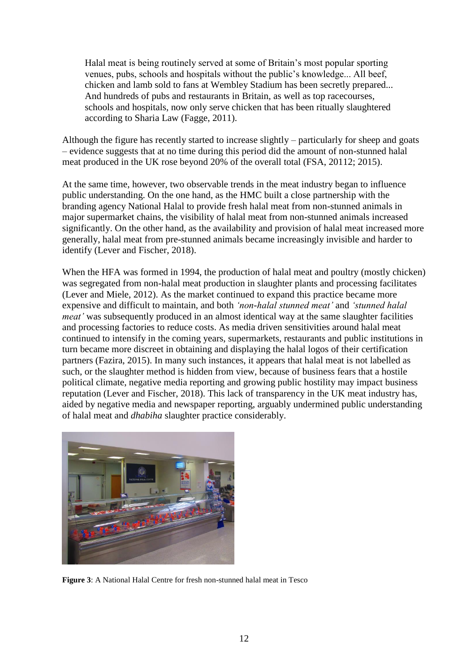Halal meat is being routinely served at some of Britain's most popular sporting venues, pubs, schools and hospitals without the public's knowledge... All beef, chicken and lamb sold to fans at Wembley Stadium has been secretly prepared... And hundreds of pubs and restaurants in Britain, as well as top racecourses, schools and hospitals, now only serve chicken that has been ritually slaughtered according to Sharia Law (Fagge, 2011).

Although the figure has recently started to increase slightly – particularly for sheep and goats – evidence suggests that at no time during this period did the amount of non-stunned halal meat produced in the UK rose beyond 20% of the overall total (FSA, 20112; 2015).

At the same time, however, two observable trends in the meat industry began to influence public understanding. On the one hand, as the HMC built a close partnership with the branding agency National Halal to provide fresh halal meat from non-stunned animals in major supermarket chains, the visibility of halal meat from non-stunned animals increased significantly. On the other hand, as the availability and provision of halal meat increased more generally, halal meat from pre-stunned animals became increasingly invisible and harder to identify (Lever and Fischer, 2018).

When the HFA was formed in 1994, the production of halal meat and poultry (mostly chicken) was segregated from non-halal meat production in slaughter plants and processing facilitates (Lever and Miele, 2012). As the market continued to expand this practice became more expensive and difficult to maintain, and both *'non-halal stunned meat'* and *'stunned halal meat'* was subsequently produced in an almost identical way at the same slaughter facilities and processing factories to reduce costs. As media driven sensitivities around halal meat continued to intensify in the coming years, supermarkets, restaurants and public institutions in turn became more discreet in obtaining and displaying the halal logos of their certification partners (Fazira, 2015). In many such instances, it appears that halal meat is not labelled as such, or the slaughter method is hidden from view, because of business fears that a hostile political climate, negative media reporting and growing public hostility may impact business reputation (Lever and Fischer, 2018). This lack of transparency in the UK meat industry has, aided by negative media and newspaper reporting, arguably undermined public understanding of halal meat and *dhabiha* slaughter practice considerably.



**Figure 3**: A National Halal Centre for fresh non-stunned halal meat in Tesco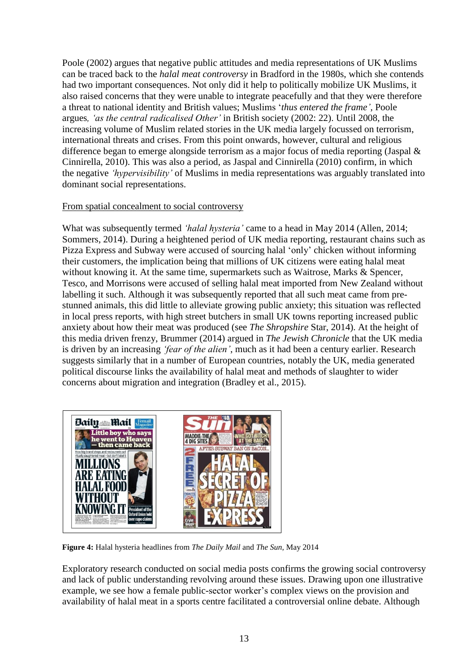Poole (2002) argues that negative public attitudes and media representations of UK Muslims can be traced back to the *halal meat controversy* in Bradford in the 1980s, which she contends had two important consequences. Not only did it help to politically mobilize UK Muslims, it also raised concerns that they were unable to integrate peacefully and that they were therefore a threat to national identity and British values; Muslims '*thus entered the frame',* Poole argues*, 'as the central radicalised Other'* in British society (2002: 22). Until 2008, the increasing volume of Muslim related stories in the UK media largely focussed on terrorism, international threats and crises. From this point onwards, however, cultural and religious difference began to emerge alongside terrorism as a major focus of media reporting (Jaspal & Cinnirella, 2010). This was also a period, as Jaspal and Cinnirella (2010) confirm, in which the negative *'hypervisibility'* of Muslims in media representations was arguably translated into dominant social representations.

### From spatial concealment to social controversy

What was subsequently termed *'halal hysteria'* came to a head in May 2014 (Allen, 2014; Sommers, 2014). During a heightened period of UK media reporting, restaurant chains such as Pizza Express and Subway were accused of sourcing halal 'only' chicken without informing their customers, the implication being that millions of UK citizens were eating halal meat without knowing it. At the same time, supermarkets such as Waitrose, Marks & Spencer, Tesco, and Morrisons were accused of selling halal meat imported from New Zealand without labelling it such. Although it was subsequently reported that all such meat came from prestunned animals, this did little to alleviate growing public anxiety; this situation was reflected in local press reports, with high street butchers in small UK towns reporting increased public anxiety about how their meat was produced (see *The Shropshire* Star, 2014). At the height of this media driven frenzy, Brummer (2014) argued in *The Jewish Chronicle* that the UK media is driven by an increasing *'fear of the alien'*, much as it had been a century earlier. Research suggests similarly that in a number of European countries, notably the UK, media generated political discourse links the availability of halal meat and methods of slaughter to wider concerns about migration and integration (Bradley et al., 2015).



**Figure 4:** Halal hysteria headlines from *The Daily Mail* and *The Sun*, May 2014

Exploratory research conducted on social media posts confirms the growing social controversy and lack of public understanding revolving around these issues. Drawing upon one illustrative example, we see how a female public-sector worker's complex views on the provision and availability of halal meat in a sports centre facilitated a controversial online debate. Although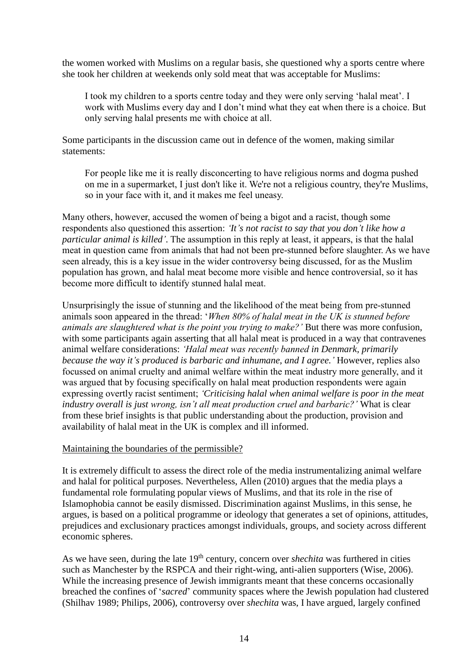the women worked with Muslims on a regular basis, she questioned why a sports centre where she took her children at weekends only sold meat that was acceptable for Muslims:

I took my children to a sports centre today and they were only serving 'halal meat'. I work with Muslims every day and I don't mind what they eat when there is a choice. But only serving halal presents me with choice at all.

Some participants in the discussion came out in defence of the women, making similar statements:

For people like me it is really disconcerting to have religious norms and dogma pushed on me in a supermarket, I just don't like it. We're not a religious country, they're Muslims, so in your face with it, and it makes me feel uneasy.

Many others, however, accused the women of being a bigot and a racist, though some respondents also questioned this assertion: *'It's not racist to say that you don't like how a particular animal is killed'*. The assumption in this reply at least, it appears, is that the halal meat in question came from animals that had not been pre-stunned before slaughter. As we have seen already, this is a key issue in the wider controversy being discussed, for as the Muslim population has grown, and halal meat become more visible and hence controversial, so it has become more difficult to identify stunned halal meat.

Unsurprisingly the issue of stunning and the likelihood of the meat being from pre-stunned animals soon appeared in the thread: '*When 80% of halal meat in the UK is stunned before animals are slaughtered what is the point you trying to make?'* But there was more confusion, with some participants again asserting that all halal meat is produced in a way that contravenes animal welfare considerations: *'Halal meat was recently banned in Denmark, primarily because the way it's produced is barbaric and inhumane, and I agree.'* However, replies also focussed on animal cruelty and animal welfare within the meat industry more generally, and it was argued that by focusing specifically on halal meat production respondents were again expressing overtly racist sentiment; *'Criticising halal when animal welfare is poor in the meat industry overall is just wrong, isn't all meat production cruel and barbaric?'* What is clear from these brief insights is that public understanding about the production, provision and availability of halal meat in the UK is complex and ill informed.

#### Maintaining the boundaries of the permissible?

It is extremely difficult to assess the direct role of the media instrumentalizing animal welfare and halal for political purposes. Nevertheless, Allen (2010) argues that the media plays a fundamental role formulating popular views of Muslims, and that its role in the rise of Islamophobia cannot be easily dismissed. Discrimination against Muslims, in this sense, he argues, is based on a political programme or ideology that generates a set of opinions, attitudes, prejudices and exclusionary practices amongst individuals, groups, and society across different economic spheres.

As we have seen, during the late 19<sup>th</sup> century, concern over *shechita* was furthered in cities such as Manchester by the RSPCA and their right-wing, anti-alien supporters (Wise, 2006). While the increasing presence of Jewish immigrants meant that these concerns occasionally breached the confines of '*sacred*' community spaces where the Jewish population had clustered (Shilhav 1989; Philips, 2006), controversy over *shechita* was, I have argued, largely confined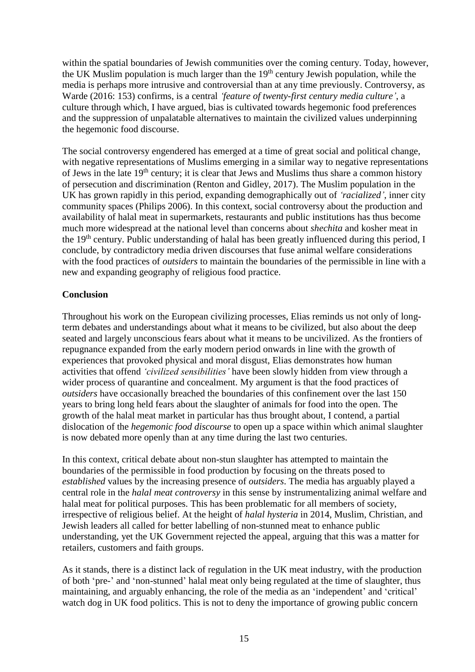within the spatial boundaries of Jewish communities over the coming century. Today, however, the UK Muslim population is much larger than the 19<sup>th</sup> century Jewish population, while the media is perhaps more intrusive and controversial than at any time previously. Controversy, as Warde (2016: 153) confirms, is a central *'feature of twenty-first century media culture'*, a culture through which, I have argued, bias is cultivated towards hegemonic food preferences and the suppression of unpalatable alternatives to maintain the civilized values underpinning the hegemonic food discourse.

The social controversy engendered has emerged at a time of great social and political change, with negative representations of Muslims emerging in a similar way to negative representations of Jews in the late 19th century; it is clear that Jews and Muslims thus share a common history of persecution and discrimination (Renton and Gidley, 2017). The Muslim population in the UK has grown rapidly in this period, expanding demographically out of *'racialized'*, inner city community spaces (Philips 2006). In this context, social controversy about the production and availability of halal meat in supermarkets, restaurants and public institutions has thus become much more widespread at the national level than concerns about *shechita* and kosher meat in the 19<sup>th</sup> century. Public understanding of halal has been greatly influenced during this period, I conclude, by contradictory media driven discourses that fuse animal welfare considerations with the food practices of *outsiders* to maintain the boundaries of the permissible in line with a new and expanding geography of religious food practice.

# **Conclusion**

Throughout his work on the European civilizing processes, Elias reminds us not only of longterm debates and understandings about what it means to be civilized, but also about the deep seated and largely unconscious fears about what it means to be uncivilized. As the frontiers of repugnance expanded from the early modern period onwards in line with the growth of experiences that provoked physical and moral disgust, Elias demonstrates how human activities that offend *'civilized sensibilities'* have been slowly hidden from view through a wider process of quarantine and concealment. My argument is that the food practices of *outsiders* have occasionally breached the boundaries of this confinement over the last 150 years to bring long held fears about the slaughter of animals for food into the open. The growth of the halal meat market in particular has thus brought about, I contend, a partial dislocation of the *hegemonic food discourse* to open up a space within which animal slaughter is now debated more openly than at any time during the last two centuries.

In this context, critical debate about non-stun slaughter has attempted to maintain the boundaries of the permissible in food production by focusing on the threats posed to *established* values by the increasing presence of *outsiders*. The media has arguably played a central role in the *halal meat controversy* in this sense by instrumentalizing animal welfare and halal meat for political purposes. This has been problematic for all members of society, irrespective of religious belief. At the height of *halal hysteria* in 2014, Muslim, Christian, and Jewish leaders all called for better labelling of non-stunned meat to enhance public understanding, yet the UK Government rejected the appeal, arguing that this was a matter for retailers, customers and faith groups.

As it stands, there is a distinct lack of regulation in the UK meat industry, with the production of both 'pre-' and 'non-stunned' halal meat only being regulated at the time of slaughter, thus maintaining, and arguably enhancing, the role of the media as an 'independent' and 'critical' watch dog in UK food politics. This is not to deny the importance of growing public concern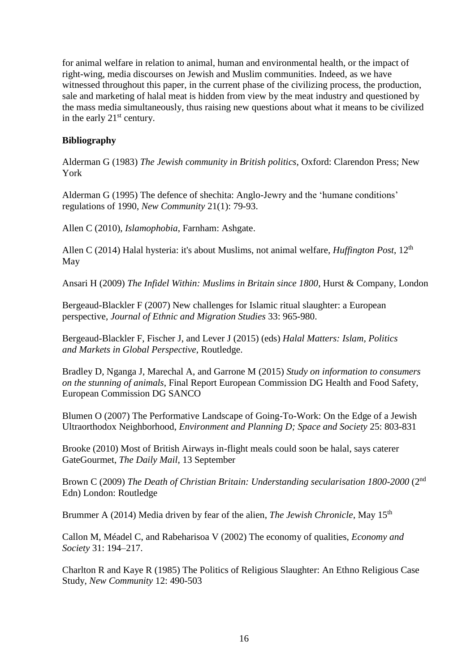for animal welfare in relation to animal, human and environmental health, or the impact of right-wing, media discourses on Jewish and Muslim communities. Indeed, as we have witnessed throughout this paper, in the current phase of the civilizing process, the production, sale and marketing of halal meat is hidden from view by the meat industry and questioned by the mass media simultaneously, thus raising new questions about what it means to be civilized in the early  $21<sup>st</sup>$  century.

### **Bibliography**

Alderman G (1983) *The Jewish community in British politics*, Oxford: Clarendon Press; New York

Alderman G (1995) The defence of shechita: Anglo-Jewry and the 'humane conditions' regulations of 1990, *New Community* 21(1): 79-93.

Allen C (2010), *Islamophobia*, Farnham: Ashgate.

Allen C (2014) Halal hysteria: it's about Muslims, not animal welfare, *Huffington Post*, 12<sup>th</sup> May

Ansari H (2009) *The Infidel Within: Muslims in Britain since 1800*, Hurst & Company, London

Bergeaud-Blackler F (2007) New challenges for Islamic ritual slaughter: a European perspective, *Journal of Ethnic and Migration Studies* 33: 965-980.

Bergeaud-Blackler F, Fischer J, and Lever J (2015) (eds) *Halal Matters: Islam, Politics and Markets in Global Perspective*, Routledge.

Bradley D, Nganga J, Marechal A, and Garrone M (2015) *Study on information to consumers on the stunning of animals*, Final Report European Commission DG Health and Food Safety, European Commission DG SANCO

Blumen O (2007) The Performative Landscape of Going-To-Work: On the Edge of a Jewish Ultraorthodox Neighborhood, *Environment and Planning D; Space and Society* 25: 803-831

Brooke (2010) Most of British Airways in-flight meals could soon be halal, says caterer GateGourmet, *The Daily Mail*, 13 September

Brown C (2009) *The Death of Christian Britain: Understanding secularisation 1800-2000* (2<sup>nd</sup> Edn) London: Routledge

Brummer A (2014) Media driven by fear of the alien, *The Jewish Chronicle*, May 15<sup>th</sup>

Callon M, Méadel C, and Rabeharisoa V (2002) The economy of qualities, *Economy and Society* 31: 194–217.

Charlton R and Kaye R (1985) The Politics of Religious Slaughter: An Ethno Religious Case Study, *New Community* 12: 490-503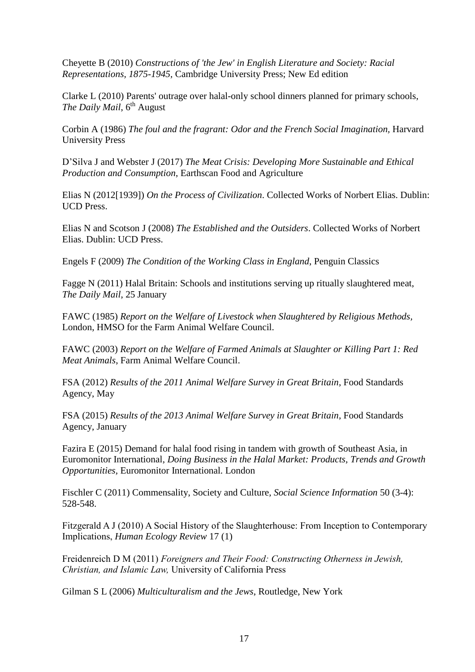Cheyette B (2010) *Constructions of 'the Jew' in English Literature and Society: Racial Representations, 1875-1945,* Cambridge University Press; New Ed edition

Clarke L (2010) Parents' outrage over halal-only school dinners planned for primary schools, *The Daily Mail*, 6<sup>th</sup> August

Corbin A (1986) *The foul and the fragrant: Odor and the French Social Imagination,* Harvard University Press

D'Silva J and Webster J (2017) *The Meat Crisis: Developing More Sustainable and Ethical Production and Consumption*, Earthscan Food and Agriculture

Elias N (2012[1939]) *On the Process of Civilization*. Collected Works of Norbert Elias. Dublin: UCD Press.

Elias N and Scotson J (2008) *The Established and the Outsiders*. Collected Works of Norbert Elias. Dublin: UCD Press.

Engels F (2009) *The Condition of the Working Class in England*, Penguin Classics

Fagge N (2011) Halal Britain: Schools and institutions serving up ritually slaughtered meat, *The Daily Mail*, 25 January

FAWC (1985) *Report on the Welfare of Livestock when Slaughtered by Religious Methods,*  London, HMSO for the Farm Animal Welfare Council.

FAWC (2003) *Report on the Welfare of Farmed Animals at Slaughter or Killing Part 1: Red Meat Animals*, Farm Animal Welfare Council.

FSA (2012) *Results of the 2011 Animal Welfare Survey in Great Britain*, Food Standards Agency, May

FSA (2015) *Results of the 2013 Animal Welfare Survey in Great Britain*, Food Standards Agency, January

Fazira E (2015) Demand for halal food rising in tandem with growth of Southeast Asia, in Euromonitor International, *Doing Business in the Halal Market: Products, Trends and Growth Opportunities,* Euromonitor International. London

Fischler C (2011) Commensality, Society and Culture, *Social Science Information* 50 (3-4): 528-548.

Fitzgerald A J (2010) A Social History of the Slaughterhouse: From Inception to Contemporary Implications, *Human Ecology Review* 17 (1)

Freidenreich D M (2011) *Foreigners and Their Food: Constructing Otherness in Jewish, Christian, and Islamic Law,* University of California Press

Gilman S L (2006) *Multiculturalism and the Jews*, Routledge, New York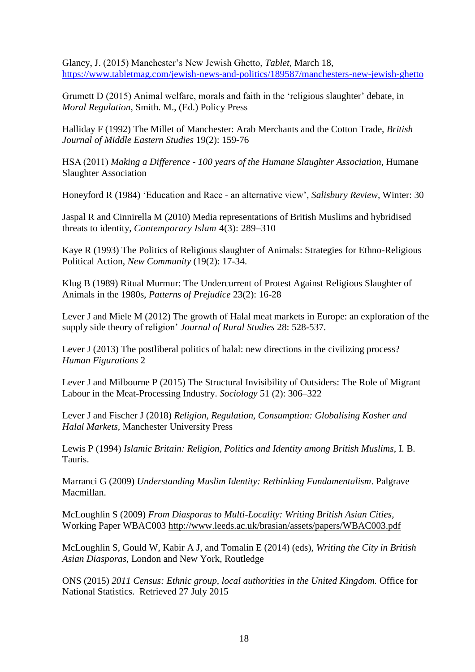Glancy, J. (2015) Manchester's New Jewish Ghetto, *Tablet*, March 18, <https://www.tabletmag.com/jewish-news-and-politics/189587/manchesters-new-jewish-ghetto>

Grumett D (2015) Animal welfare, morals and faith in the 'religious slaughter' debate, in *Moral Regulation*, Smith. M., (Ed.) Policy Press

Halliday F (1992) The Millet of Manchester: Arab Merchants and the Cotton Trade, *British Journal of Middle Eastern Studies* 19(2): 159-76

HSA (2011) *Making a Difference - 100 years of the Humane Slaughter Association*, Humane Slaughter Association

Honeyford R (1984) 'Education and Race ‐ an alternative view', *Salisbury Review,* Winter: 30

Jaspal R and Cinnirella M (2010) Media representations of British Muslims and hybridised threats to identity, *Contemporary Islam* 4(3): 289–310

Kaye R (1993) The Politics of Religious slaughter of Animals: Strategies for Ethno-Religious Political Action, *New Community* (19(2): 17-34.

Klug B (1989) Ritual Murmur: The Undercurrent of Protest Against Religious Slaughter of Animals in the 1980s, *Patterns of Prejudice* 23(2): 16-28

Lever J and Miele M (2012) The growth of Halal meat markets in Europe: an exploration of the supply side theory of religion' *Journal of Rural Studies* 28: 528-537.

Lever J (2013) The postliberal politics of halal: new directions in the civilizing process? *Human Figurations* 2

Lever J and Milbourne P (2015) The Structural Invisibility of Outsiders: The Role of Migrant Labour in the Meat-Processing Industry. *Sociology* 51 (2): 306–322

Lever J and Fischer J (2018) *Religion, Regulation, Consumption: Globalising Kosher and Halal Markets,* Manchester University Press

Lewis P (1994) *Islamic Britain: Religion, Politics and Identity among British Muslims*, I. B. Tauris.

Marranci G (2009) *Understanding Muslim Identity: Rethinking Fundamentalism*. Palgrave Macmillan.

McLoughlin S (2009) *From Diasporas to Multi-Locality: Writing British Asian Cities*, Working Paper WBAC003 <http://www.leeds.ac.uk/brasian/assets/papers/WBAC003.pdf>

McLoughlin S, Gould W, Kabir A J, and Tomalin E (2014) (eds), *Writing the City in British Asian Diasporas*, London and New York, Routledge

ONS (2015) *2011 Census: Ethnic group, local authorities in the United Kingdom.* Office for National Statistics. Retrieved 27 July 2015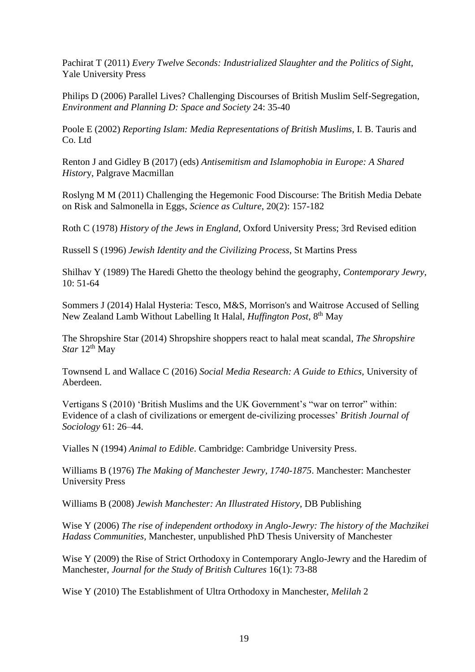Pachirat T (2011) *Every Twelve Seconds: Industrialized Slaughter and the Politics of Sight*, Yale University Press

Philips D (2006) Parallel Lives? Challenging Discourses of British Muslim Self-Segregation, *Environment and Planning D: Space and Society* 24: 35-40

Poole E (2002) *Reporting Islam: Media Representations of British Muslims*, I. B. Tauris and Co. Ltd

Renton J and Gidley B (2017) (eds) *Antisemitism and Islamophobia in Europe: A Shared Histor*y, Palgrave Macmillan

Roslyng M M (2011) Challenging the Hegemonic Food Discourse: The British Media Debate on Risk and Salmonella in Eggs, *Science as Culture*, 20(2): 157-182

Roth C (1978) *History of the Jews in England*, Oxford University Press; 3rd Revised edition

Russell S (1996) *Jewish Identity and the Civilizing Process*, St Martins Press

Shilhav Y (1989) The Haredi Ghetto the theology behind the geography, *Contemporary Jewry*, 10: 51-64

Sommers J (2014) Halal Hysteria: Tesco, M&S, Morrison's and Waitrose Accused of Selling New Zealand Lamb Without Labelling It Halal, *Huffington Post*, 8th May

The Shropshire Star (2014) Shropshire shoppers react to halal meat scandal, *The Shropshire Star* 12th May

Townsend L and Wallace C (2016) *Social Media Research: A Guide to Ethics,* University of Aberdeen.

Vertigans S (2010) 'British Muslims and the UK Government's "war on terror" within: Evidence of a clash of civilizations or emergent de-civilizing processes' *British Journal of Sociology* 61: 26–44.

Vialles N (1994) *Animal to Edible*. Cambridge: Cambridge University Press.

Williams B (1976) *The Making of Manchester Jewry, 1740-1875*. Manchester: Manchester University Press

Williams B (2008) *Jewish Manchester: An Illustrated History*, DB Publishing

Wise Y (2006) *The rise of independent orthodoxy in Anglo-Jewry: The history of the Machzikei Hadass Communities,* Manchester, unpublished PhD Thesis University of Manchester

Wise Y (2009) the Rise of Strict Orthodoxy in Contemporary Anglo-Jewry and the Haredim of Manchester, *Journal for the Study of British Cultures* 16(1): 73-88

Wise Y (2010) The Establishment of Ultra Orthodoxy in Manchester, *Melilah* 2